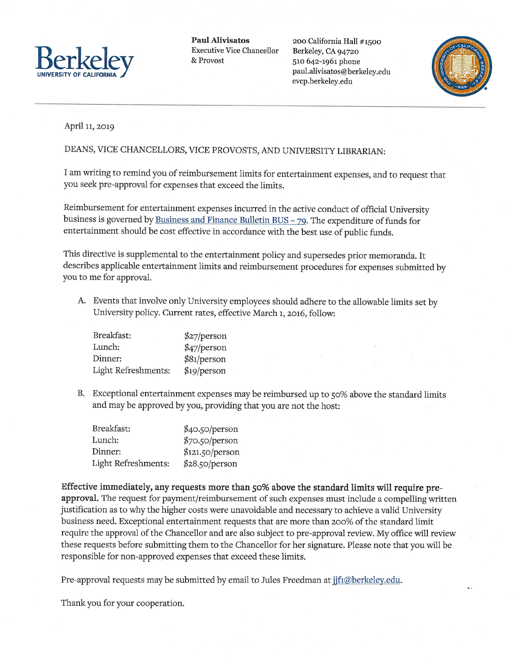

Paul Alivisatos 200 California Hall #1500

paul.alivisatos@berkeley.edu evcp.berkeley.edu



## April 11, 2019

## DEANS, VICE CHANCELLORS, VICE PROVOSTS, AND UNIVERSITY LIBRARIAN:

I am writing to remind you of reimbursement limits for entertainment expenses, and to request that you seek pre-approval for expenses that exceed the limits.

Reimbursement for entertainment expenses incurred in the active conduct of official University business is governed by Business and Finance Bulletin BUS -  $79$ . The expenditure of funds for entertainment should be cost effective in accordance with the best use of public funds.

This directive is supplemental to the entertainment policy and supersedes prior memoranda. It describes applicable entertainment limits and reimbursement procedures for expenses submitted by you to me for approval.

A. Events that involve only University employees should adhere to the allowable limits set by University policy. Current rates, effective March i, 2016, follow:

| Breakfast:          | \$27/person |
|---------------------|-------------|
| Lunch:              | \$47/person |
| Dinner:             | \$81/person |
| Light Refreshments: | \$19/person |

B. Exceptional entertainment expenses may be reimbursed up to  $50\%$  above the standard limits and may be approved by you, providing that you are not the host:

| Breakfast:          | \$40.50/person  |
|---------------------|-----------------|
| Lunch:              | \$70.50/person  |
| Dinner:             | \$121.50/person |
| Light Refreshments: | \$28.50/person  |

Effective immediately, any requests more than 50% above the standard limits will require preapproval. The request for payment/reimbursement of such expenses must include <sup>a</sup> compelling written justification as to why the higher costs were unavoidable and necessary to achieve a valid University business need. Exceptional entertainment requests that are more than 200% ofthe standard limit require the approval of the Chancellor and are also subject to pre-approval review. My office will review these requests before submitting them to the Chancellor for her signature. Please note that you will be responsible for non-approved expenses that exceed these limits.

Pre-approval requests may be submitted by email to Jules Freedman at jjf1@berkeley.edu.

Thank you for your cooperation.